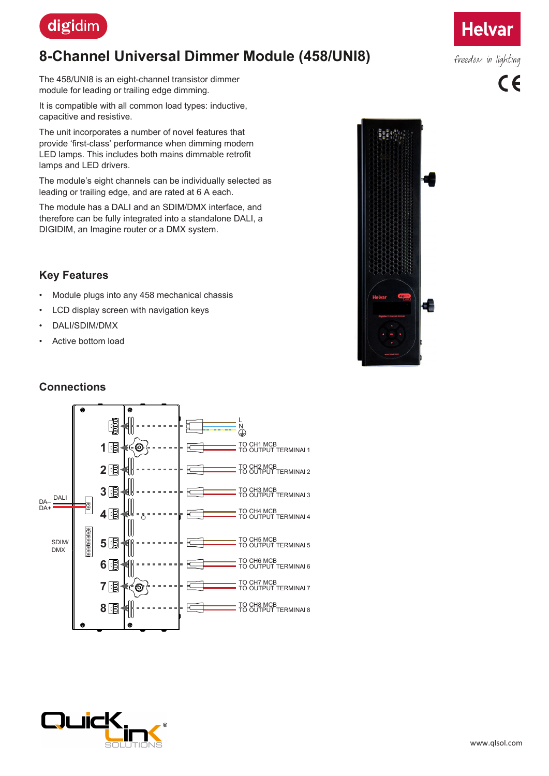

## **8-Channel Universal Dimmer Module (458/UNI8)**

The 458/UNI8 is an eight-channel transistor dimmer module for leading or trailing edge dimming.

It is compatible with all common load types: inductive, capacitive and resistive.

The unit incorporates a number of novel features that provide 'first-class' performance when dimming modern LED lamps. This includes both mains dimmable retrofit lamps and LED drivers.

The module's eight channels can be individually selected as leading or trailing edge, and are rated at 6 A each.

The module has a DALI and an SDIM/DMX interface, and therefore can be fully integrated into a standalone DALI, a DIGIDIM, an Imagine router or a DMX system.

#### **Key Features**

- Module plugs into any 458 mechanical chassis
- LCD display screen with navigation keys
- DALI/SDIM/DMX
- Active bottom load

#### **Connections**







freedom in lighting